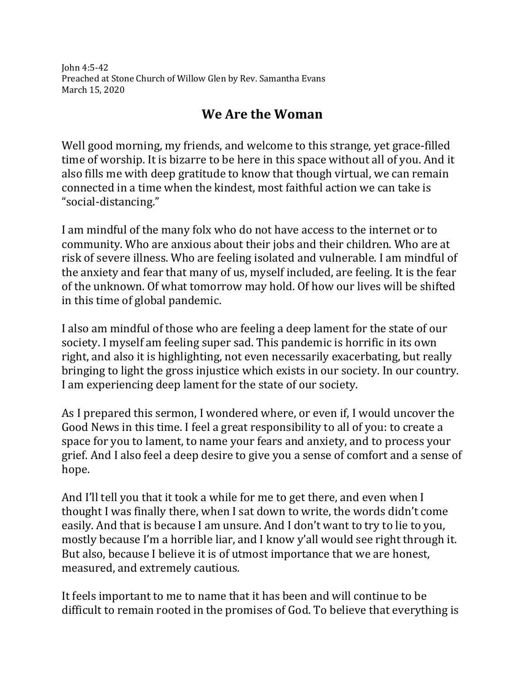John 4:5-42 Preached at Stone Church of Willow Glen by Rev. Samantha Evans March 15, 2020

## **We Are the Woman**

Well good morning, my friends, and welcome to this strange, yet grace-filled time of worship. It is bizarre to be here in this space without all of you. And it also fills me with deep gratitude to know that though virtual, we can remain connected in a time when the kindest, most faithful action we can take is "social-distancing."

I am mindful of the many folx who do not have access to the internet or to community. Who are anxious about their jobs and their children. Who are at risk of severe illness. Who are feeling isolated and vulnerable. I am mindful of the anxiety and fear that many of us, myself included, are feeling. It is the fear of the unknown. Of what tomorrow may hold. Of how our lives will be shifted in this time of global pandemic.

I also am mindful of those who are feeling a deep lament for the state of our society. I myself am feeling super sad. This pandemic is horrific in its own right, and also it is highlighting, not even necessarily exacerbating, but really bringing to light the gross injustice which exists in our society. In our country. I am experiencing deep lament for the state of our society.

As I prepared this sermon, I wondered where, or even if, I would uncover the Good News in this time. I feel a great responsibility to all of you: to create a space for you to lament, to name your fears and anxiety, and to process your grief. And I also feel a deep desire to give you a sense of comfort and a sense of hope.

And I'll tell you that it took a while for me to get there, and even when I thought I was finally there, when I sat down to write, the words didn't come easily. And that is because I am unsure. And I don't want to try to lie to you, mostly because I'm a horrible liar, and I know y'all would see right through it. But also, because I believe it is of utmost importance that we are honest, measured, and extremely cautious.

It feels important to me to name that it has been and will continue to be difficult to remain rooted in the promises of God. To believe that everything is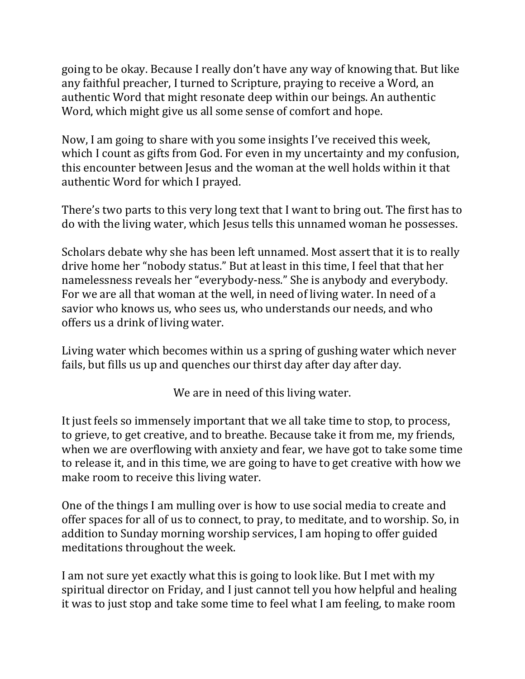going to be okay. Because I really don't have any way of knowing that. But like any faithful preacher, I turned to Scripture, praying to receive a Word, an authentic Word that might resonate deep within our beings. An authentic Word, which might give us all some sense of comfort and hope.

Now, I am going to share with you some insights I've received this week, which I count as gifts from God. For even in my uncertainty and my confusion, this encounter between Jesus and the woman at the well holds within it that authentic Word for which I prayed.

There's two parts to this very long text that I want to bring out. The first has to do with the living water, which Jesus tells this unnamed woman he possesses.

Scholars debate why she has been left unnamed. Most assert that it is to really drive home her "nobody status." But at least in this time, I feel that that her namelessness reveals her "everybody-ness." She is anybody and everybody. For we are all that woman at the well, in need of living water. In need of a savior who knows us, who sees us, who understands our needs, and who offers us a drink of living water.

Living water which becomes within us a spring of gushing water which never fails, but fills us up and quenches our thirst day after day after day.

We are in need of this living water.

It just feels so immensely important that we all take time to stop, to process, to grieve, to get creative, and to breathe. Because take it from me, my friends, when we are overflowing with anxiety and fear, we have got to take some time to release it, and in this time, we are going to have to get creative with how we make room to receive this living water.

One of the things I am mulling over is how to use social media to create and offer spaces for all of us to connect, to pray, to meditate, and to worship. So, in addition to Sunday morning worship services, I am hoping to offer guided meditations throughout the week.

I am not sure yet exactly what this is going to look like. But I met with my spiritual director on Friday, and I just cannot tell you how helpful and healing it was to just stop and take some time to feel what I am feeling, to make room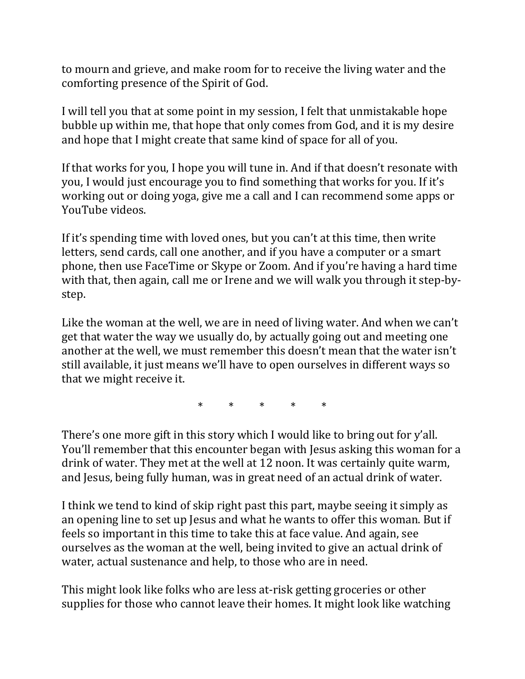to mourn and grieve, and make room for to receive the living water and the comforting presence of the Spirit of God.

I will tell you that at some point in my session, I felt that unmistakable hope bubble up within me, that hope that only comes from God, and it is my desire and hope that I might create that same kind of space for all of you.

If that works for you, I hope you will tune in. And if that doesn't resonate with you, I would just encourage you to find something that works for you. If it's working out or doing yoga, give me a call and I can recommend some apps or YouTube videos.

If it's spending time with loved ones, but you can't at this time, then write letters, send cards, call one another, and if you have a computer or a smart phone, then use FaceTime or Skype or Zoom. And if you're having a hard time with that, then again, call me or Irene and we will walk you through it step-bystep.

Like the woman at the well, we are in need of living water. And when we can't get that water the way we usually do, by actually going out and meeting one another at the well, we must remember this doesn't mean that the water isn't still available, it just means we'll have to open ourselves in different ways so that we might receive it.

\* \* \* \* \*

There's one more gift in this story which I would like to bring out for y'all. You'll remember that this encounter began with Jesus asking this woman for a drink of water. They met at the well at 12 noon. It was certainly quite warm, and Jesus, being fully human, was in great need of an actual drink of water.

I think we tend to kind of skip right past this part, maybe seeing it simply as an opening line to set up Jesus and what he wants to offer this woman. But if feels so important in this time to take this at face value. And again, see ourselves as the woman at the well, being invited to give an actual drink of water, actual sustenance and help, to those who are in need.

This might look like folks who are less at-risk getting groceries or other supplies for those who cannot leave their homes. It might look like watching